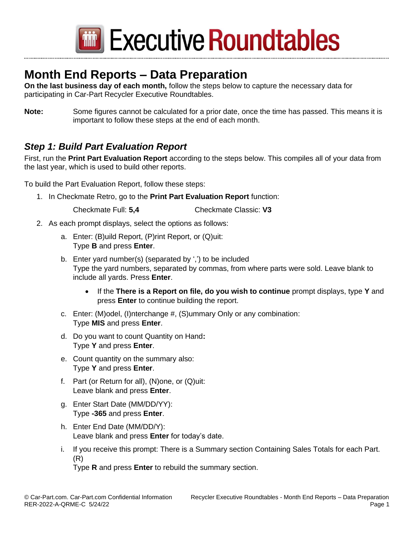

Executive Roundtables

## **Month End Reports – Data Preparation**

**On the last business day of each month,** follow the steps below to capture the necessary data for participating in Car-Part Recycler Executive Roundtables.

**Note:** Some figures cannot be calculated for a prior date, once the time has passed. This means it is important to follow these steps at the end of each month.

### *Step 1: Build Part Evaluation Report*

First, run the **Print Part Evaluation Report** according to the steps below. This compiles all of your data from the last year, which is used to build other reports.

To build the Part Evaluation Report, follow these steps:

1. In Checkmate Retro, go to the **Print Part Evaluation Report** function:

Checkmate Full: **5,4** Checkmate Classic: **V3**

- 2. As each prompt displays, select the options as follows:
	- a. Enter: (B)uild Report, (P)rint Report, or (Q)uit: Type **B** and press **Enter**.
	- b. Enter yard number(s) (separated by ',') to be included Type the yard numbers, separated by commas, from where parts were sold. Leave blank to include all yards. Press **Enter**.
		- If the **There is a Report on file, do you wish to continue** prompt displays, type **Y** and press **Enter** to continue building the report.
	- c. Enter: (M)odel, (I)nterchange #, (S)ummary Only or any combination: Type **MIS** and press **Enter**.
	- d. Do you want to count Quantity on Hand**:**  Type **Y** and press **Enter**.
	- e. Count quantity on the summary also: Type **Y** and press **Enter**.
	- f. Part (or Return for all), (N)one, or (Q)uit: Leave blank and press **Enter**.
	- g. Enter Start Date (MM/DD/YY): Type **-365** and press **Enter**.
	- h. Enter End Date (MM/DD/Y): Leave blank and press **Enter** for today's date.
	- i. If you receive this prompt: There is a Summary section Containing Sales Totals for each Part. (R)

Type **R** and press **Enter** to rebuild the summary section.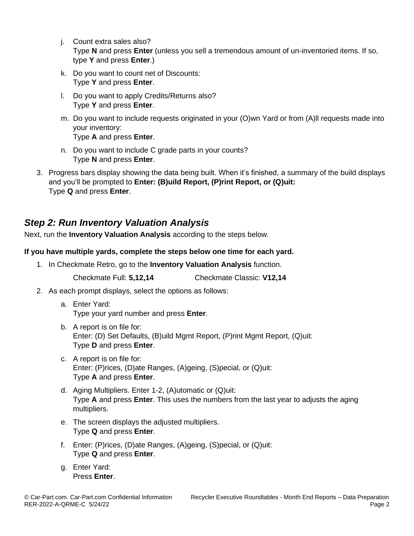- j. Count extra sales also? Type **N** and press **Enter** (unless you sell a tremendous amount of un-inventoried items. If so, type **Y** and press **Enter**.)
- k. Do you want to count net of Discounts: Type **Y** and press **Enter**.
- l. Do you want to apply Credits/Returns also? Type **Y** and press **Enter**.
- m. Do you want to include requests originated in your (O)wn Yard or from (A)ll requests made into your inventory: Type **A** and press **Enter**.
- n. Do you want to include C grade parts in your counts? Type **N** and press **Enter**.
- 3. Progress bars display showing the data being built. When it's finished, a summary of the build displays and you'll be prompted to **Enter: (B)uild Report, (P)rint Report, or (Q)uit:**  Type **Q** and press **Enter**.

## *Step 2: Run Inventory Valuation Analysis*

Next, run the **Inventory Valuation Analysis** according to the steps below.

### **If you have multiple yards, complete the steps below one time for each yard.**

1. In Checkmate Retro, go to the **Inventory Valuation Analysis** function.

Checkmate Full: **5,12,14** Checkmate Classic: **V12,14**

- 2. As each prompt displays, select the options as follows:
	- a. Enter Yard: Type your yard number and press **Enter**.
	- b. A report is on file for: Enter: (D) Set Defaults, (B)uild Mgmt Report, (P)rint Mgmt Report, (Q)uit: Type **D** and press **Enter**.
	- c. A report is on file for: Enter: (P)rices, (D)ate Ranges, (A)geing, (S)pecial, or (Q)uit: Type **A** and press **Enter**.
	- d. Aging Multipliers. Enter 1-2, (A)utomatic or (Q)uit: Type **A** and press **Enter**. This uses the numbers from the last year to adjusts the aging multipliers.
	- e. The screen displays the adjusted multipliers. Type **Q** and press **Enter**.
	- f. Enter: (P)rices, (D)ate Ranges, (A)geing, (S)pecial, or (Q)uit: Type **Q** and press **Enter**.
	- g. Enter Yard: Press **Enter**.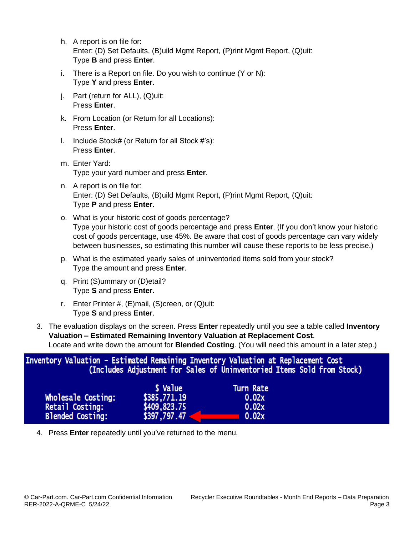| h. A report is on file for:                                                   |
|-------------------------------------------------------------------------------|
| Enter: (D) Set Defaults, (B) uild Mgmt Report, (P) rint Mgmt Report, (Q) uit: |
| Type <b>B</b> and press <b>Enter</b> .                                        |

- i. There is a Report on file. Do you wish to continue (Y or N): Type **Y** and press **Enter**.
- j. Part (return for ALL), (Q)uit: Press **Enter**.
- k. From Location (or Return for all Locations): Press **Enter**.
- l. Include Stock# (or Return for all Stock #'s): Press **Enter**.
- m. Enter Yard: Type your yard number and press **Enter**.
- n. A report is on file for: Enter: (D) Set Defaults, (B)uild Mgmt Report, (P)rint Mgmt Report, (Q)uit: Type **P** and press **Enter**.
- o. What is your historic cost of goods percentage? Type your historic cost of goods percentage and press **Enter**. (If you don't know your historic cost of goods percentage, use 45%. Be aware that cost of goods percentage can vary widely between businesses, so estimating this number will cause these reports to be less precise.)
- p. What is the estimated yearly sales of uninventoried items sold from your stock? Type the amount and press **Enter**.
- q. Print (S)ummary or (D)etail? Type **S** and press **Enter**.
- r. Enter Printer #, (E)mail, (S)creen, or (Q)uit: Type **S** and press **Enter**.
- 3. The evaluation displays on the screen. Press **Enter** repeatedly until you see a table called **Inventory Valuation – Estimated Remaining Inventory Valuation at Replacement Cost**. Locate and write down the amount for **Blended Costing**. (You will need this amount in a later step.)

Inventory Valuation - Estimated Remaining Inventory Valuation at Replacement Cost (Includes Adjustment for Sales of Uninventoried Items Sold from Stock) \$ Value **Turn Rate** 

| Wholesale Costing:      | \$385,771.19 | 0.02x |
|-------------------------|--------------|-------|
| Retail Costing:         | \$409,823.75 | 0.02x |
| <b>Blended Costing:</b> | \$397,797.47 | 0.02x |

4. Press **Enter** repeatedly until you've returned to the menu.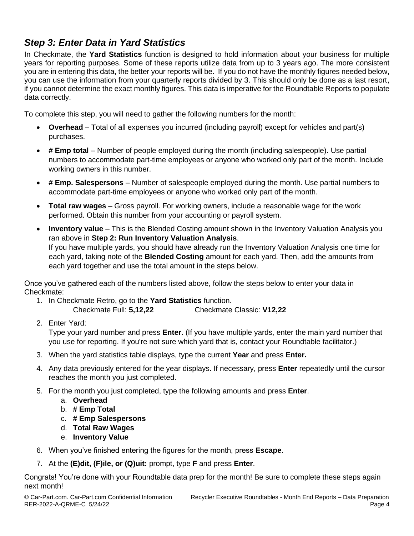## *Step 3: Enter Data in Yard Statistics*

In Checkmate, the **Yard Statistics** function is designed to hold information about your business for multiple years for reporting purposes. Some of these reports utilize data from up to 3 years ago. The more consistent you are in entering this data, the better your reports will be. If you do not have the monthly figures needed below, you can use the information from your quarterly reports divided by 3. This should only be done as a last resort, if you cannot determine the exact monthly figures. This data is imperative for the Roundtable Reports to populate data correctly.

To complete this step, you will need to gather the following numbers for the month:

- **Overhead** Total of all expenses you incurred (including payroll) except for vehicles and part(s) purchases.
- **# Emp total** Number of people employed during the month (including salespeople). Use partial numbers to accommodate part-time employees or anyone who worked only part of the month. Include working owners in this number.
- **# Emp. Salespersons** Number of salespeople employed during the month. Use partial numbers to accommodate part-time employees or anyone who worked only part of the month.
- **Total raw wages** Gross payroll. For working owners, include a reasonable wage for the work performed. Obtain this number from your accounting or payroll system.
- **Inventory value** This is the Blended Costing amount shown in the Inventory Valuation Analysis you ran above in **Step 2: Run Inventory Valuation Analysis**. If you have multiple yards, you should have already run the Inventory Valuation Analysis one time for each yard, taking note of the **Blended Costing** amount for each yard. Then, add the amounts from each yard together and use the total amount in the steps below.

Once you've gathered each of the numbers listed above, follow the steps below to enter your data in Checkmate:

1. In Checkmate Retro, go to the **Yard Statistics** function.

Checkmate Full: **5,12,22** Checkmate Classic: **V12,22**

2. Enter Yard:

Type your yard number and press **Enter**. (If you have multiple yards, enter the main yard number that you use for reporting. If you're not sure which yard that is, contact your Roundtable facilitator.)

- 3. When the yard statistics table displays, type the current **Year** and press **Enter.**
- 4. Any data previously entered for the year displays. If necessary, press **Enter** repeatedly until the cursor reaches the month you just completed.
- 5. For the month you just completed, type the following amounts and press **Enter**.
	- a. **Overhead**
	- b. **# Emp Total**
	- c. **# Emp Salespersons**
	- d. **Total Raw Wages**
	- e. **Inventory Value**
- 6. When you've finished entering the figures for the month, press **Escape**.
- 7. At the **(E)dit, (F)ile, or (Q)uit:** prompt, type **F** and press **Enter**.

Congrats! You're done with your Roundtable data prep for the month! Be sure to complete these steps again next month!